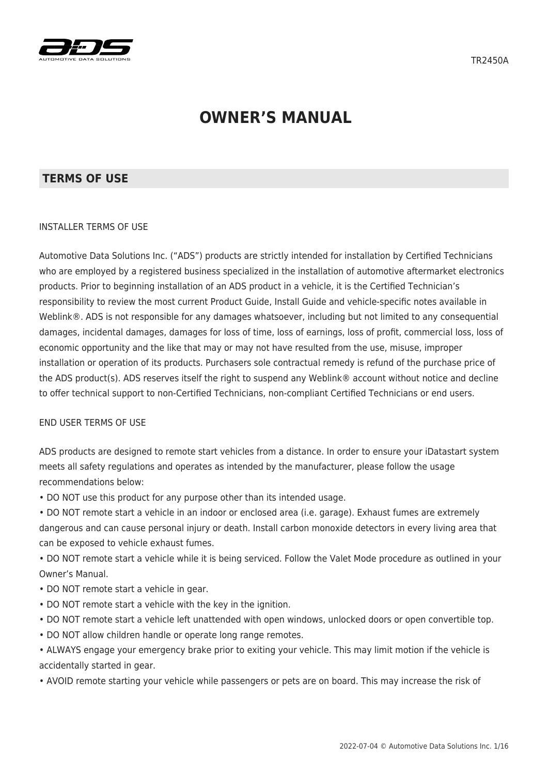

# **OWNER'S MANUAL**

#### **TERMS OF USE**

#### INSTALLER TERMS OF USE

Automotive Data Solutions Inc. ("ADS") products are strictly intended for installation by Certified Technicians who are employed by a registered business specialized in the installation of automotive aftermarket electronics products. Prior to beginning installation of an ADS product in a vehicle, it is the Certified Technician's responsibility to review the most current Product Guide, Install Guide and vehicle-specific notes available in Weblink®. ADS is not responsible for any damages whatsoever, including but not limited to any consequential damages, incidental damages, damages for loss of time, loss of earnings, loss of profit, commercial loss, loss of economic opportunity and the like that may or may not have resulted from the use, misuse, improper installation or operation of its products. Purchasers sole contractual remedy is refund of the purchase price of the ADS product(s). ADS reserves itself the right to suspend any Weblink® account without notice and decline to offer technical support to non-Certified Technicians, non-compliant Certified Technicians or end users.

#### END USER TERMS OF USE

ADS products are designed to remote start vehicles from a distance. In order to ensure your iDatastart system meets all safety regulations and operates as intended by the manufacturer, please follow the usage recommendations below:

• DO NOT use this product for any purpose other than its intended usage.

• DO NOT remote start a vehicle in an indoor or enclosed area (i.e. garage). Exhaust fumes are extremely dangerous and can cause personal injury or death. Install carbon monoxide detectors in every living area that can be exposed to vehicle exhaust fumes.

• DO NOT remote start a vehicle while it is being serviced. Follow the Valet Mode procedure as outlined in your Owner's Manual.

- DO NOT remote start a vehicle in gear.
- DO NOT remote start a vehicle with the key in the ignition.
- DO NOT remote start a vehicle left unattended with open windows, unlocked doors or open convertible top.
- DO NOT allow children handle or operate long range remotes.

• ALWAYS engage your emergency brake prior to exiting your vehicle. This may limit motion if the vehicle is accidentally started in gear.

• AVOID remote starting your vehicle while passengers or pets are on board. This may increase the risk of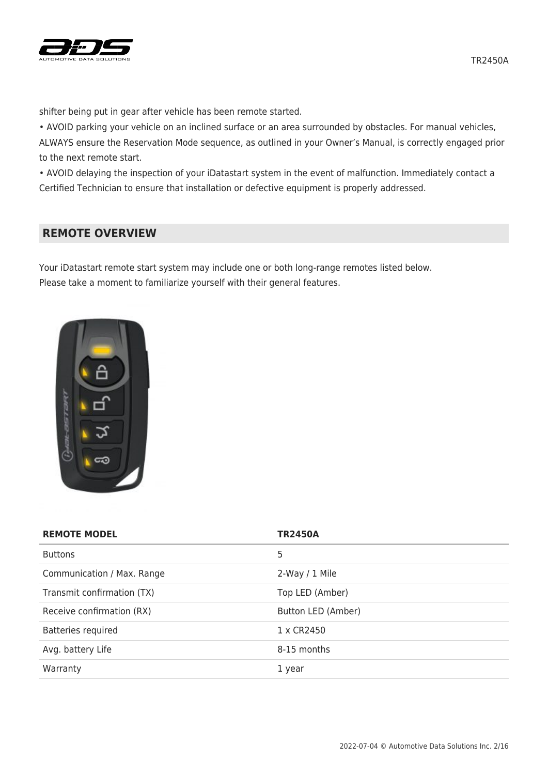

shifter being put in gear after vehicle has been remote started.

• AVOID parking your vehicle on an inclined surface or an area surrounded by obstacles. For manual vehicles, ALWAYS ensure the Reservation Mode sequence, as outlined in your Owner's Manual, is correctly engaged prior to the next remote start.

• AVOID delaying the inspection of your iDatastart system in the event of malfunction. Immediately contact a Certified Technician to ensure that installation or defective equipment is properly addressed.

## **REMOTE OVERVIEW**

Your iDatastart remote start system may include one or both long-range remotes listed below. Please take a moment to familiarize yourself with their general features.



| <b>REMOTE MODEL</b>        | <b>TR2450A</b>     |
|----------------------------|--------------------|
| <b>Buttons</b>             | 5                  |
| Communication / Max. Range | 2-Way / 1 Mile     |
| Transmit confirmation (TX) | Top LED (Amber)    |
| Receive confirmation (RX)  | Button LED (Amber) |
| Batteries required         | 1 x CR2450         |
| Avg. battery Life          | 8-15 months        |
| Warranty                   | 1 year             |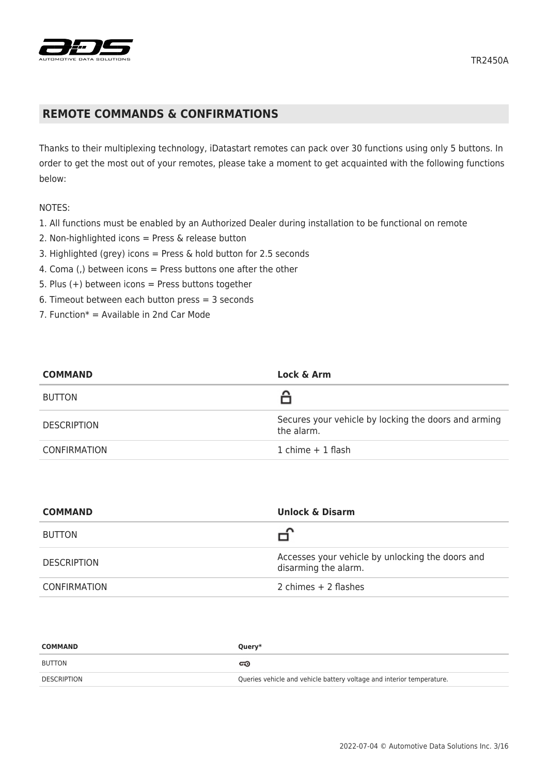

## **REMOTE COMMANDS & CONFIRMATIONS**

Thanks to their multiplexing technology, iDatastart remotes can pack over 30 functions using only 5 buttons. In order to get the most out of your remotes, please take a moment to get acquainted with the following functions below:

#### NOTES:

- 1. All functions must be enabled by an Authorized Dealer during installation to be functional on remote
- 2. Non-highlighted icons = Press & release button
- 3. Highlighted (grey) icons = Press & hold button for 2.5 seconds
- 4. Coma (,) between icons = Press buttons one after the other
- 5. Plus  $(+)$  between icons = Press buttons together
- 6. Timeout between each button press = 3 seconds
- 7. Function $* =$  Available in 2nd Car Mode

| <b>COMMAND</b>      | Lock & Arm                                                         |
|---------------------|--------------------------------------------------------------------|
| <b>BUTTON</b>       |                                                                    |
| <b>DESCRIPTION</b>  | Secures your vehicle by locking the doors and arming<br>the alarm. |
| <b>CONFIRMATION</b> | 1 chime $+$ 1 flash                                                |

| <b>COMMAND</b>      | <b>Unlock &amp; Disarm</b>                                               |
|---------------------|--------------------------------------------------------------------------|
| <b>BUTTON</b>       |                                                                          |
| <b>DESCRIPTION</b>  | Accesses your vehicle by unlocking the doors and<br>disarming the alarm. |
| <b>CONFIRMATION</b> | 2 chimes $+$ 2 flashes                                                   |

| <b>COMMAND</b> | Query*                                                                |
|----------------|-----------------------------------------------------------------------|
| <b>BUTTON</b>  | ದಾ                                                                    |
| DESCRIPTION    | Queries vehicle and vehicle battery voltage and interior temperature. |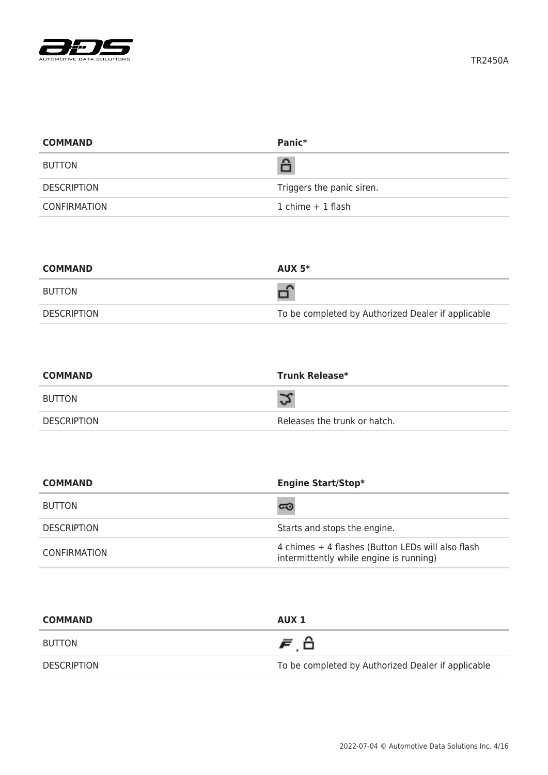

| <b>COMMAND</b>      | Panic*                    |
|---------------------|---------------------------|
| <b>BUTTON</b>       | â                         |
| <b>DESCRIPTION</b>  | Triggers the panic siren. |
| <b>CONFIRMATION</b> | $1$ chime $+1$ flash      |

| <b>COMMAND</b> | AUX $5*$                                           |
|----------------|----------------------------------------------------|
| <b>BUTTON</b>  |                                                    |
| DESCRIPTION    | To be completed by Authorized Dealer if applicable |

| <b>COMMAND</b> | <b>Trunk Release*</b>        |
|----------------|------------------------------|
| BUTTON         |                              |
| DESCRIPTION    | Releases the trunk or hatch. |

| <b>COMMAND</b>      | <b>Engine Start/Stop*</b>                                                                    |
|---------------------|----------------------------------------------------------------------------------------------|
| <b>BUTTON</b>       | ದಾ                                                                                           |
| <b>DESCRIPTION</b>  | Starts and stops the engine.                                                                 |
| <b>CONFIRMATION</b> | 4 chimes + 4 flashes (Button LEDs will also flash<br>intermittently while engine is running) |

| <b>COMMAND</b> | AUX 1                                              |
|----------------|----------------------------------------------------|
| BUTTON         | 声台                                                 |
| DESCRIPTION    | To be completed by Authorized Dealer if applicable |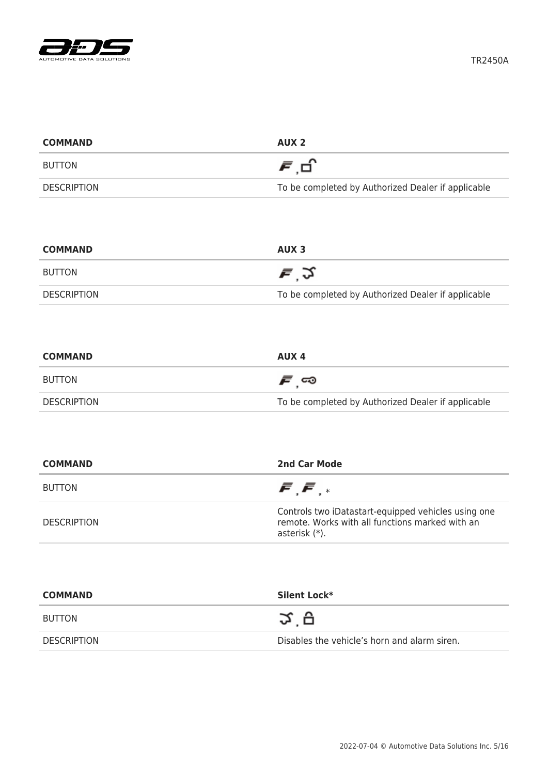

| <b>COMMAND</b>     | AUX <sub>2</sub>                                   |
|--------------------|----------------------------------------------------|
| <b>BUTTON</b>      | 月日                                                 |
| <b>DESCRIPTION</b> | To be completed by Authorized Dealer if applicable |

| <b>COMMAND</b> | AUX <sub>3</sub>                                   |
|----------------|----------------------------------------------------|
| BUTTON         | 戸文                                                 |
| DESCRIPTION    | To be completed by Authorized Dealer if applicable |

| <b>COMMAND</b> | AUX 4                                              |
|----------------|----------------------------------------------------|
| BUTTON         | ౯్ా                                                |
| DESCRIPTION    | To be completed by Authorized Dealer if applicable |

| <b>COMMAND</b>     | 2nd Car Mode                                                                                                            |
|--------------------|-------------------------------------------------------------------------------------------------------------------------|
| <b>BUTTON</b>      | $\bar{F}$ , $\bar{F}$ , $*$                                                                                             |
| <b>DESCRIPTION</b> | Controls two iDatastart-equipped vehicles using one<br>remote. Works with all functions marked with an<br>asterisk (*). |

| <b>COMMAND</b>     | Silent Lock*                                 |
|--------------------|----------------------------------------------|
| <b>BUTTON</b>      | Ω`Ω                                          |
| <b>DESCRIPTION</b> | Disables the vehicle's horn and alarm siren. |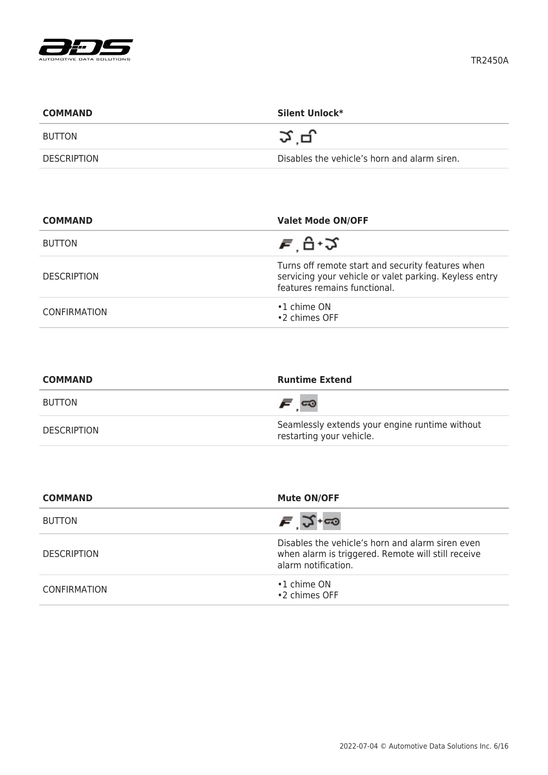

| <b>COMMAND</b>     | Silent Unlock*                               |
|--------------------|----------------------------------------------|
| BUTTON             | చ ∟∟                                         |
| <b>DESCRIPTION</b> | Disables the vehicle's horn and alarm siren. |

| <b>COMMAND</b>     | <b>Valet Mode ON/OFF</b>                                                                                                                    |
|--------------------|---------------------------------------------------------------------------------------------------------------------------------------------|
| <b>BUTTON</b>      | ਵ ਦੇ ਮ                                                                                                                                      |
| <b>DESCRIPTION</b> | Turns off remote start and security features when<br>servicing your vehicle or valet parking. Keyless entry<br>features remains functional. |
| CONFIRMATION       | $\cdot$ 1 chime ON<br>•2 chimes OFF                                                                                                         |

| <b>COMMAND</b>     | <b>Runtime Extend</b>                                                      |
|--------------------|----------------------------------------------------------------------------|
| BUTTON             | <i>೯</i> ∞                                                                 |
| <b>DESCRIPTION</b> | Seamlessly extends your engine runtime without<br>restarting your vehicle. |

| <b>COMMAND</b>      | <b>Mute ON/OFF</b>                                                                                                            |
|---------------------|-------------------------------------------------------------------------------------------------------------------------------|
| <b>BUTTON</b>       | $\bar{F}$ $\Im$ +00                                                                                                           |
| <b>DESCRIPTION</b>  | Disables the vehicle's horn and alarm siren even<br>when alarm is triggered. Remote will still receive<br>alarm notification. |
| <b>CONFIRMATION</b> | $\cdot$ 1 chime ON<br>•2 chimes OFF                                                                                           |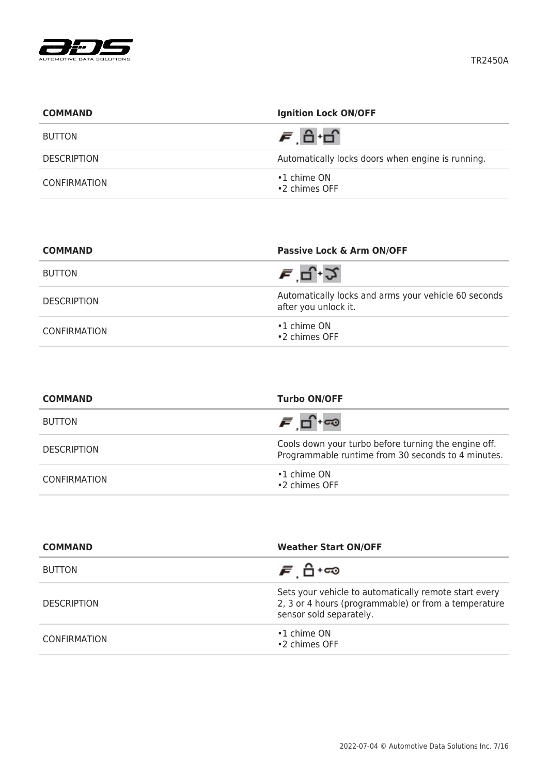

| <b>COMMAND</b>      | <b>Ignition Lock ON/OFF</b>                       |
|---------------------|---------------------------------------------------|
| <b>BUTTON</b>       |                                                   |
| <b>DESCRIPTION</b>  | Automatically locks doors when engine is running. |
| <b>CONFIRMATION</b> | $\cdot$ 1 chime ON<br>•2 chimes OFF               |

| <b>COMMAND</b>      | Passive Lock & Arm ON/OFF                                                    |
|---------------------|------------------------------------------------------------------------------|
| <b>BUTTON</b>       | ਵ '⊐੍.੭                                                                      |
| <b>DESCRIPTION</b>  | Automatically locks and arms your vehicle 60 seconds<br>after you unlock it. |
| <b>CONFIRMATION</b> | $\cdot$ 1 chime ON<br>•2 chimes OFF                                          |

| <b>COMMAND</b>      | <b>Turbo ON/OFF</b>                                                                                        |
|---------------------|------------------------------------------------------------------------------------------------------------|
| <b>BUTTON</b>       | ச பி+ை                                                                                                     |
| <b>DESCRIPTION</b>  | Cools down your turbo before turning the engine off.<br>Programmable runtime from 30 seconds to 4 minutes. |
| <b>CONFIRMATION</b> | $\cdot$ 1 chime ON<br>•2 chimes OFF                                                                        |

| <b>COMMAND</b>      | <b>Weather Start ON/OFF</b>                                                                                                              |
|---------------------|------------------------------------------------------------------------------------------------------------------------------------------|
| <b>BUTTON</b>       | <i>ச</i> பி +ை                                                                                                                           |
| <b>DESCRIPTION</b>  | Sets your vehicle to automatically remote start every<br>2, 3 or 4 hours (programmable) or from a temperature<br>sensor sold separately. |
| <b>CONFIRMATION</b> | $\cdot$ 1 chime ON<br>•2 chimes OFF                                                                                                      |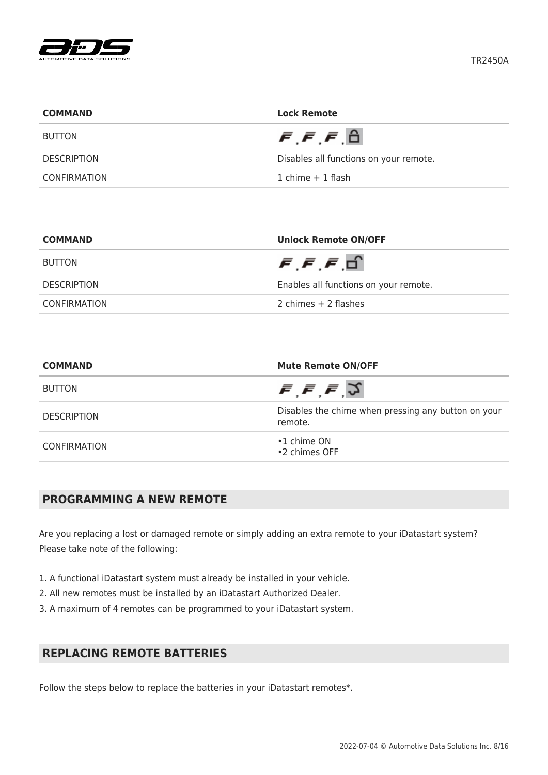

| <b>COMMAND</b>     | <b>Lock Remote</b>                               |
|--------------------|--------------------------------------------------|
| <b>BUTTON</b>      | $\bar{F}$ , $\bar{F}$ , $\bar{F}$ , $\hat{\Box}$ |
| <b>DESCRIPTION</b> | Disables all functions on your remote.           |
| CONFIRMATION       | 1 chime $+$ 1 flash                              |

| <b>COMMAND</b>     | <b>Unlock Remote ON/OFF</b>                |
|--------------------|--------------------------------------------|
| BUTTON             | $\bar{F}$ , $\bar{F}$ , $\bar{F}$ , $\Box$ |
| <b>DESCRIPTION</b> | Enables all functions on your remote.      |
| CONFIRMATION       | 2 chimes $+$ 2 flashes                     |

| <b>COMMAND</b>      | <b>Mute Remote ON/OFF</b><br>$\bar{F}, \bar{F}, \bar{F}, \bar{S}$<br>Disables the chime when pressing any button on your<br>remote. |  |
|---------------------|-------------------------------------------------------------------------------------------------------------------------------------|--|
| <b>BUTTON</b>       |                                                                                                                                     |  |
| <b>DESCRIPTION</b>  |                                                                                                                                     |  |
| <b>CONFIRMATION</b> | $\cdot$ 1 chime ON<br>•2 chimes OFF                                                                                                 |  |

# **PROGRAMMING A NEW REMOTE**

Are you replacing a lost or damaged remote or simply adding an extra remote to your iDatastart system? Please take note of the following:

- 1. A functional iDatastart system must already be installed in your vehicle.
- 2. All new remotes must be installed by an iDatastart Authorized Dealer.
- 3. A maximum of 4 remotes can be programmed to your iDatastart system.

# **REPLACING REMOTE BATTERIES**

Follow the steps below to replace the batteries in your iDatastart remotes\*.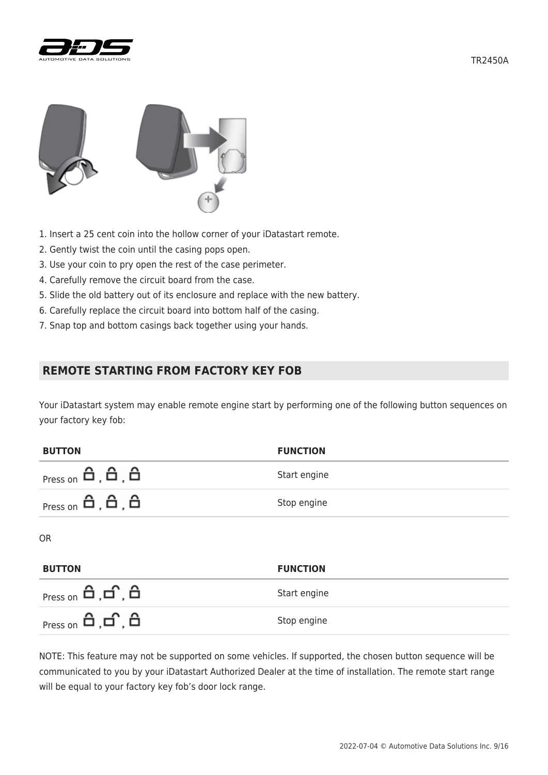





- 1. Insert a 25 cent coin into the hollow corner of your iDatastart remote.
- 2. Gently twist the coin until the casing pops open.
- 3. Use your coin to pry open the rest of the case perimeter.
- 4. Carefully remove the circuit board from the case.
- 5. Slide the old battery out of its enclosure and replace with the new battery.
- 6. Carefully replace the circuit board into bottom half of the casing.
- 7. Snap top and bottom casings back together using your hands.

## **REMOTE STARTING FROM FACTORY KEY FOB**

Your iDatastart system may enable remote engine start by performing one of the following button sequences on your factory key fob:

| <b>BUTTON</b>                                                            | <b>FUNCTION</b> |
|--------------------------------------------------------------------------|-----------------|
| $P$ ress on $\mathbf{\hat{H}}$ , $\mathbf{\hat{H}}$ , $\mathbf{\hat{H}}$ | Start engine    |
| $P$ ress on $\mathbf{\hat{H}}$ , $\mathbf{\hat{H}}$ , $\mathbf{\hat{H}}$ | Stop engine     |
| <b>OR</b>                                                                |                 |
| <b>BUTTON</b>                                                            | <b>FUNCTION</b> |

| <sub>Press on</sub> பி ,பி ,பி | Start engine |
|--------------------------------|--------------|
|                                | Stop engine  |

NOTE: This feature may not be supported on some vehicles. If supported, the chosen button sequence will be communicated to you by your iDatastart Authorized Dealer at the time of installation. The remote start range will be equal to your factory key fob's door lock range.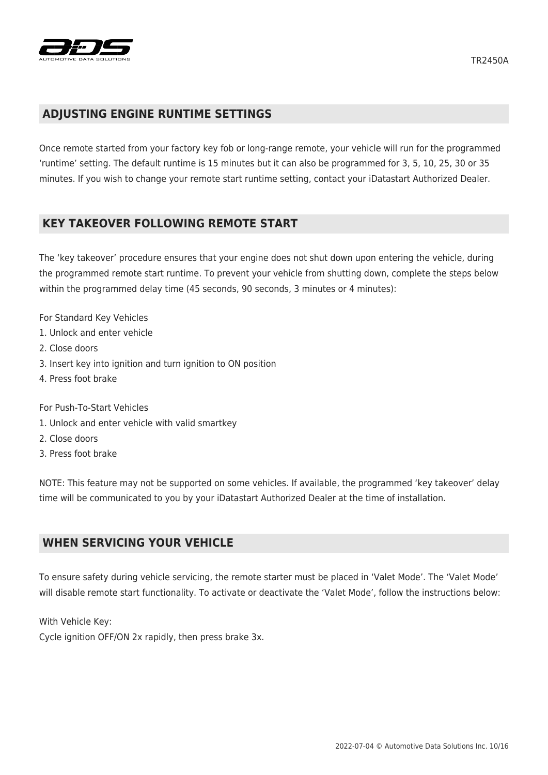

## **ADJUSTING ENGINE RUNTIME SETTINGS**

Once remote started from your factory key fob or long-range remote, your vehicle will run for the programmed 'runtime' setting. The default runtime is 15 minutes but it can also be programmed for 3, 5, 10, 25, 30 or 35 minutes. If you wish to change your remote start runtime setting, contact your iDatastart Authorized Dealer.

#### **KEY TAKEOVER FOLLOWING REMOTE START**

The 'key takeover' procedure ensures that your engine does not shut down upon entering the vehicle, during the programmed remote start runtime. To prevent your vehicle from shutting down, complete the steps below within the programmed delay time (45 seconds, 90 seconds, 3 minutes or 4 minutes):

- For Standard Key Vehicles
- 1. Unlock and enter vehicle
- 2. Close doors
- 3. Insert key into ignition and turn ignition to ON position
- 4. Press foot brake

For Push-To-Start Vehicles

- 1. Unlock and enter vehicle with valid smartkey
- 2. Close doors
- 3. Press foot brake

NOTE: This feature may not be supported on some vehicles. If available, the programmed 'key takeover' delay time will be communicated to you by your iDatastart Authorized Dealer at the time of installation.

#### **WHEN SERVICING YOUR VEHICLE**

To ensure safety during vehicle servicing, the remote starter must be placed in 'Valet Mode'. The 'Valet Mode' will disable remote start functionality. To activate or deactivate the 'Valet Mode', follow the instructions below:

With Vehicle Key:

Cycle ignition OFF/ON 2x rapidly, then press brake 3x.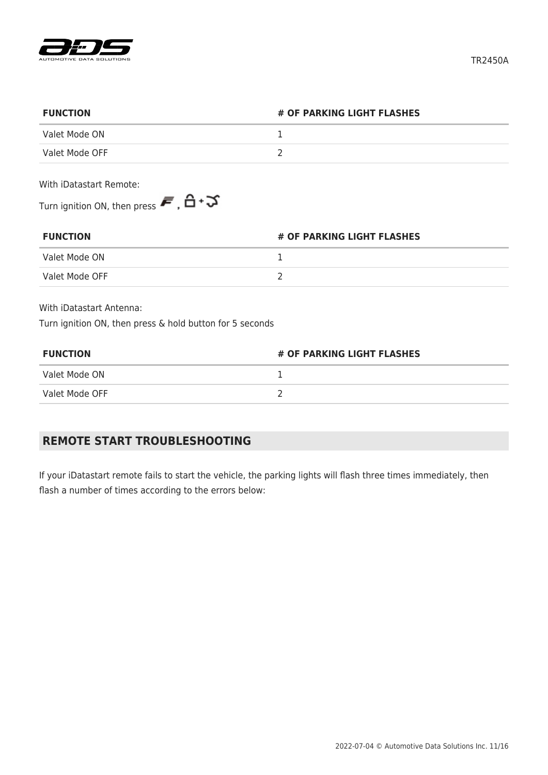

| # OF PARKING LIGHT FLASHES<br><b>FUNCTION</b>                                                        |  |
|------------------------------------------------------------------------------------------------------|--|
| Valet Mode ON                                                                                        |  |
| Valet Mode OFF                                                                                       |  |
| With iDatastart Remote:                                                                              |  |
| Turn ignition ON, then press $\boldsymbol{\bar{F}}$ , $\boldsymbol{\hat{\Box}}$ + $\boldsymbol{\Im}$ |  |

| # OF PARKING LIGHT FLASHES<br><b>FUNCTION</b> |  |
|-----------------------------------------------|--|
| Valet Mode ON                                 |  |
| Valet Mode OFF                                |  |

With iDatastart Antenna:

Turn ignition ON, then press & hold button for 5 seconds

| <b>FUNCTION</b> | # OF PARKING LIGHT FLASHES |  |
|-----------------|----------------------------|--|
| Valet Mode ON   |                            |  |
| Valet Mode OFF  |                            |  |

# **REMOTE START TROUBLESHOOTING**

If your iDatastart remote fails to start the vehicle, the parking lights will flash three times immediately, then flash a number of times according to the errors below: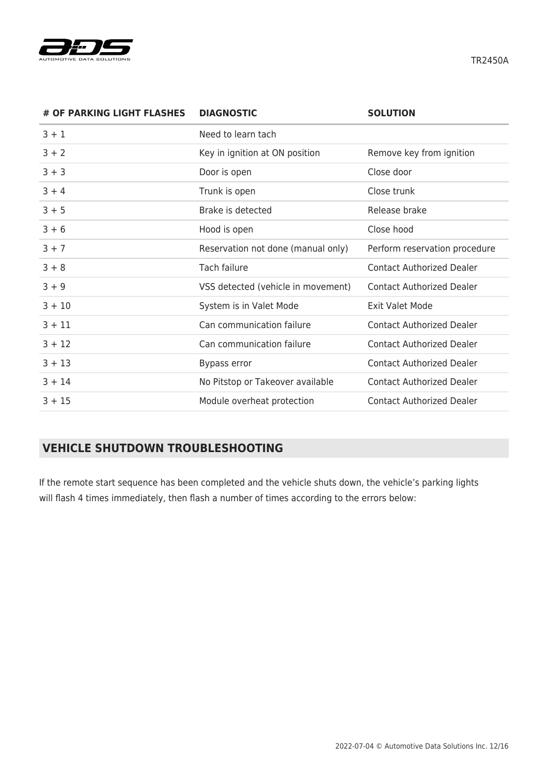

TR2450A

| # OF PARKING LIGHT FLASHES | <b>DIAGNOSTIC</b>                  | <b>SOLUTION</b>                  |
|----------------------------|------------------------------------|----------------------------------|
| $3 + 1$                    | Need to learn tach                 |                                  |
| $3 + 2$                    | Key in ignition at ON position     | Remove key from ignition         |
| $3 + 3$                    | Door is open                       | Close door                       |
| $3 + 4$                    | Trunk is open                      | Close trunk                      |
| $3 + 5$                    | Brake is detected                  | Release brake                    |
| $3 + 6$                    | Hood is open                       | Close hood                       |
| $3 + 7$                    | Reservation not done (manual only) | Perform reservation procedure    |
| $3 + 8$                    | Tach failure                       | <b>Contact Authorized Dealer</b> |
| $3 + 9$                    | VSS detected (vehicle in movement) | <b>Contact Authorized Dealer</b> |
| $3 + 10$                   | System is in Valet Mode            | <b>Exit Valet Mode</b>           |
| $3 + 11$                   | Can communication failure          | <b>Contact Authorized Dealer</b> |
| $3 + 12$                   | Can communication failure          | <b>Contact Authorized Dealer</b> |
| $3 + 13$                   | Bypass error                       | <b>Contact Authorized Dealer</b> |
| $3 + 14$                   | No Pitstop or Takeover available   | <b>Contact Authorized Dealer</b> |
| $3 + 15$                   | Module overheat protection         | <b>Contact Authorized Dealer</b> |

# **VEHICLE SHUTDOWN TROUBLESHOOTING**

If the remote start sequence has been completed and the vehicle shuts down, the vehicle's parking lights will flash 4 times immediately, then flash a number of times according to the errors below: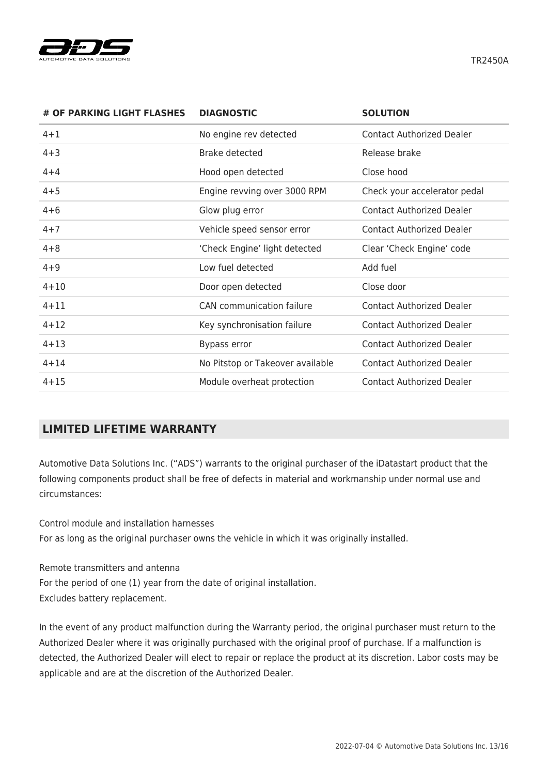

**# OF PARKING LIGHT FLASHES DIAGNOSTIC SOLUTION** 4+1 No engine rev detected Contact Authorized Dealer 4+3 Brake detected Release brake 4+4 Hood open detected Close hood 4+5 Engine revving over 3000 RPM Check your accelerator pedal 4+6 Glow plug error Contact Authorized Dealer 4+7 Vehicle speed sensor error Contact Authorized Dealer 4+8 'Check Engine' light detected Clear 'Check Engine' code 4+9 Low fuel detected Add fuel 4+10 Door open detected Close door 4+11 CAN communication failure Contact Authorized Dealer 4+12 Key synchronisation failure Contact Authorized Dealer 4+13 Bypass error Contact Authorized Dealer 4+14 No Pitstop or Takeover available Contact Authorized Dealer 4+15 Module overheat protection Contact Authorized Dealer

# **LIMITED LIFETIME WARRANTY**

Automotive Data Solutions Inc. ("ADS") warrants to the original purchaser of the iDatastart product that the following components product shall be free of defects in material and workmanship under normal use and circumstances:

Control module and installation harnesses For as long as the original purchaser owns the vehicle in which it was originally installed.

Remote transmitters and antenna For the period of one (1) year from the date of original installation. Excludes battery replacement.

In the event of any product malfunction during the Warranty period, the original purchaser must return to the Authorized Dealer where it was originally purchased with the original proof of purchase. If a malfunction is detected, the Authorized Dealer will elect to repair or replace the product at its discretion. Labor costs may be applicable and are at the discretion of the Authorized Dealer.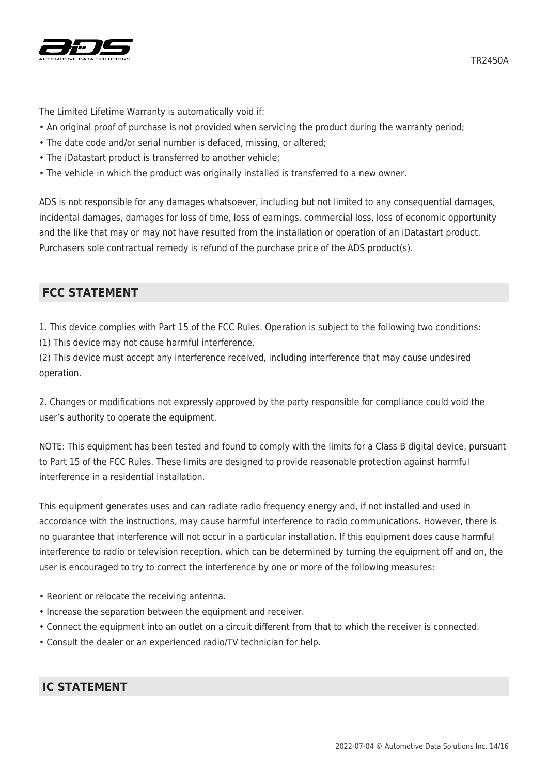

The Limited Lifetime Warranty is automatically void if:

- An original proof of purchase is not provided when servicing the product during the warranty period;
- The date code and/or serial number is defaced, missing, or altered;
- The iDatastart product is transferred to another vehicle;
- The vehicle in which the product was originally installed is transferred to a new owner.

ADS is not responsible for any damages whatsoever, including but not limited to any consequential damages, incidental damages, damages for loss of time, loss of earnings, commercial loss, loss of economic opportunity and the like that may or may not have resulted from the installation or operation of an iDatastart product. Purchasers sole contractual remedy is refund of the purchase price of the ADS product(s).

## **FCC STATEMENT**

1. This device complies with Part 15 of the FCC Rules. Operation is subject to the following two conditions:

(1) This device may not cause harmful interference.

(2) This device must accept any interference received, including interference that may cause undesired operation.

2. Changes or modifications not expressly approved by the party responsible for compliance could void the user's authority to operate the equipment.

NOTE: This equipment has been tested and found to comply with the limits for a Class B digital device, pursuant to Part 15 of the FCC Rules. These limits are designed to provide reasonable protection against harmful interference in a residential installation.

This equipment generates uses and can radiate radio frequency energy and, if not installed and used in accordance with the instructions, may cause harmful interference to radio communications. However, there is no guarantee that interference will not occur in a particular installation. If this equipment does cause harmful interference to radio or television reception, which can be determined by turning the equipment off and on, the user is encouraged to try to correct the interference by one or more of the following measures:

- Reorient or relocate the receiving antenna.
- Increase the separation between the equipment and receiver.
- Connect the equipment into an outlet on a circuit different from that to which the receiver is connected.
- Consult the dealer or an experienced radio/TV technician for help.

# **IC STATEMENT**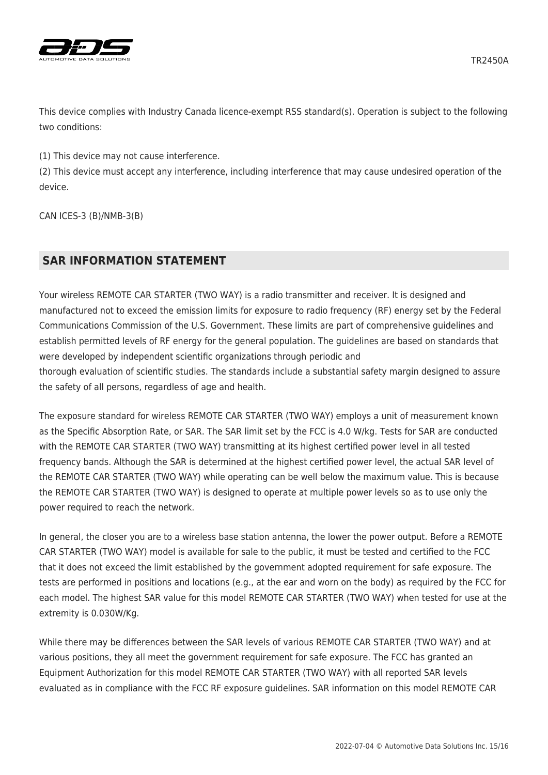

TR2450A



This device complies with Industry Canada licence-exempt RSS standard(s). Operation is subject to the following two conditions:

(1) This device may not cause interference.

(2) This device must accept any interference, including interference that may cause undesired operation of the device.

CAN ICES-3 (B)/NMB-3(B)

# **SAR INFORMATION STATEMENT**

Your wireless REMOTE CAR STARTER (TWO WAY) is a radio transmitter and receiver. It is designed and manufactured not to exceed the emission limits for exposure to radio frequency (RF) energy set by the Federal Communications Commission of the U.S. Government. These limits are part of comprehensive guidelines and establish permitted levels of RF energy for the general population. The guidelines are based on standards that were developed by independent scientific organizations through periodic and thorough evaluation of scientific studies. The standards include a substantial safety margin designed to assure the safety of all persons, regardless of age and health.

The exposure standard for wireless REMOTE CAR STARTER (TWO WAY) employs a unit of measurement known as the Specific Absorption Rate, or SAR. The SAR limit set by the FCC is 4.0 W/kg. Tests for SAR are conducted with the REMOTE CAR STARTER (TWO WAY) transmitting at its highest certified power level in all tested frequency bands. Although the SAR is determined at the highest certified power level, the actual SAR level of the REMOTE CAR STARTER (TWO WAY) while operating can be well below the maximum value. This is because the REMOTE CAR STARTER (TWO WAY) is designed to operate at multiple power levels so as to use only the power required to reach the network.

In general, the closer you are to a wireless base station antenna, the lower the power output. Before a REMOTE CAR STARTER (TWO WAY) model is available for sale to the public, it must be tested and certified to the FCC that it does not exceed the limit established by the government adopted requirement for safe exposure. The tests are performed in positions and locations (e.g., at the ear and worn on the body) as required by the FCC for each model. The highest SAR value for this model REMOTE CAR STARTER (TWO WAY) when tested for use at the extremity is 0.030W/Kg.

While there may be differences between the SAR levels of various REMOTE CAR STARTER (TWO WAY) and at various positions, they all meet the government requirement for safe exposure. The FCC has granted an Equipment Authorization for this model REMOTE CAR STARTER (TWO WAY) with all reported SAR levels evaluated as in compliance with the FCC RF exposure guidelines. SAR information on this model REMOTE CAR